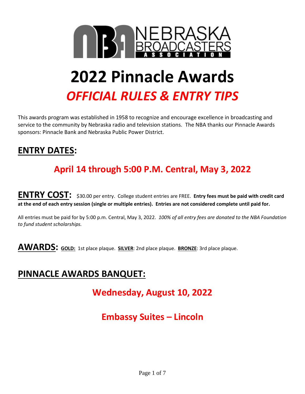

## **2022 Pinnacle Awards** *OFFICIAL RULES & ENTRY TIPS*

This awards program was established in 1958 to recognize and encourage excellence in broadcasting and service to the community by Nebraska radio and television stations. The NBA thanks our Pinnacle Awards sponsors: Pinnacle Bank and Nebraska Public Power District.

## **ENTRY DATES:**

## **April 14 through 5:00 P.M. Central, May 3, 2022**

**ENTRY COST:** \$30.00 per entry. College student entries are FREE. **Entry fees must be paid with credit card at the end of each entry session (single or multiple entries). Entries are not considered complete until paid for.** 

All entries must be paid for by 5:00 p.m. Central, May 3, 2022. *100% of all entry fees are donated to the NBA Foundation to fund student scholarships.*

**AWARDS: GOLD:** 1st place plaque. **SILVER**: 2nd place plaque. **BRONZE**: 3rd place plaque.

## **PINNACLE AWARDS BANQUET:**

**Wednesday, August 10, 2022**

## **Embassy Suites – Lincoln**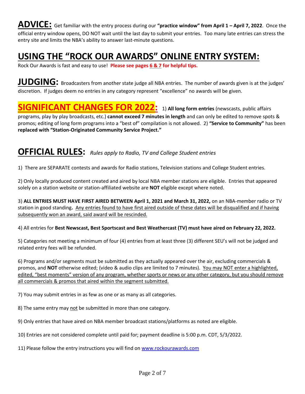**ADVICE:** Get familiar with the entry process during our **"practice window" from April 1 – April 7, 2022**. Once the official entry window opens, DO NOT wait until the last day to submit your entries. Too many late entries can stress the entry site and limits the NBA's ability to answer last-minute questions.

## **USING THE "ROCK OUR AWARDS" ONLINE ENTRY SYSTEM:**

Rock Our Awards is fast and easy to use! **Please see pages 6 & 7 for helpful tips.**

**JUDGING:** Broadcasters from another state judge all NBA entries. The number of awards given is at the judges' discretion. If judges deem no entries in any category represent "excellence" no awards will be given.

## **SIGNIFICANT CHANGES FOR 2022:** 1) All long form entries (newscasts, public affairs

programs, play by play broadcasts, etc.) **cannot exceed 7 minutes in length** and can only be edited to remove spots & promos; editing of long form programs into a "best of" compilation is not allowed. 2) **"Service to Community"** has been **replaced with "Station-Originated Community Service Project."**

### **OFFICIAL RULES:** *Rules apply to Radio, TV and College Student entries*

1) There are SEPARATE contests and awards for Radio stations, Television stations and College Student entries.

2) Only locally produced content created and aired by local NBA member stations are eligible. Entries that appeared solely on a station website or station-affiliated website are **NOT** eligible except where noted.

3) **ALL ENTRIES MUST HAVE FIRST AIRED BETWEEN April 1, 2021 and March 31, 2022,** on an NBA-member radio or TV station in good standing**.** Any entries found to have first aired outside of these dates will be disqualified and if having subsequently won an award, said award will be rescinded.

4) All entries for **Best Newscast, Best Sportscast and Best Weathercast (TV) must have aired on February 22, 2022.**

5) Categories not meeting a minimum of four (4) entries from at least three (3) different SEU's will not be judged and related entry fees will be refunded.

6) Programs and/or segments must be submitted as they actually appeared over the air, excluding commercials & promos, and **NOT** otherwise edited; (video & audio clips are limited to 7 minutes). You may NOT enter a highlighted, edited, "best moments" version of any program, whether sports or news or any other category, but you should remove all commercials & promos that aired within the segment submitted.

7) You may submit entries in as few as one or as many as all categories.

8) The same entry may not be submitted in more than one category.

9) Only entries that have aired on NBA member broadcast stations/platforms as noted are eligible.

10) Entries are not considered complete until paid for; payment deadline is 5:00 p.m. CDT, 5/3/2022.

11) Please follow the entry instructions you will find on [www.rockourawards.com](http://www.rockourawards.com/)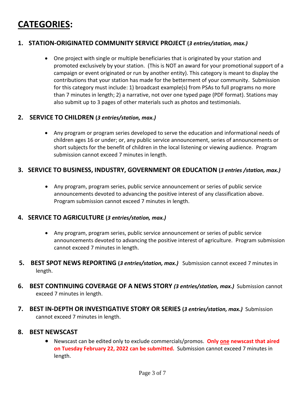## **CATEGORIES:**

#### **1. STATION-ORIGINATED COMMUNITY SERVICE PROJECT (***3 entries/station, max.)*

• One project with single or multiple beneficiaries that is originated by your station and promoted exclusively by your station. (This is NOT an award for your promotional support of a campaign or event originated or run by another entity). This category is meant to display the contributions that your station has made for the betterment of your community. Submission for this category must include: 1) broadcast example(s) from PSAs to full programs no more than 7 minutes in length; 2) a narrative, not over one typed page (PDF format). Stations may also submit up to 3 pages of other materials such as photos and testimonials.

#### **2.****SERVICE TO CHILDREN (***3 entries/station, max.)*

• Any program or program series developed to serve the education and informational needs of children ages 16 or under; or, any public service announcement, series of announcements or short subjects for the benefit of children in the local listening or viewing audience. Program submission cannot exceed 7 minutes in length.

#### **3. SERVICE TO BUSINESS, INDUSTRY, GOVERNMENT OR EDUCATION (***3 entries /station, max.)*

• Any program, program series, public service announcement or series of public service announcements devoted to advancing the positive interest of any classification above. Program submission cannot exceed 7 minutes in length.

#### **4. SERVICE TO AGRICULTURE (***3 entries/station, max.)*

- Any program, program series, public service announcement or series of public service announcements devoted to advancing the positive interest of agriculture. Program submission cannot exceed 7 minutes in length.
- **5. BEST SPOT NEWS REPORTING (***3 entries/station, max.)* Submission cannot exceed 7 minutes in length.
- **6. BEST CONTINUING COVERAGE OF A NEWS STORY** *(3 entries/station, max.)* Submission cannot exceed 7 minutes in length.
- **7. BEST IN-DEPTH OR INVESTIGATIVE STORY OR SERIES (***3 entries/station, max.)* Submission cannot exceed 7 minutes in length.

#### **8. BEST NEWSCAST**

• Newscast can be edited only to exclude commercials/promos. **Only one newscast that aired on Tuesday February 22, 2022 can be submitted.** Submission cannot exceed 7 minutes in length.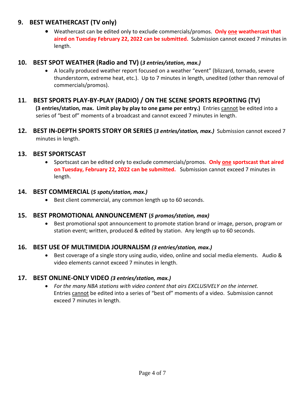#### **9. BEST WEATHERCAST (TV only)**

• Weathercast can be edited only to exclude commercials/promos. **Only one weathercast that aired on Tuesday February 22, 2022 can be submitted.** Submission cannot exceed 7 minutes in length.

#### **10. BEST SPOT WEATHER (Radio and TV) (***3 entries/station, max.)*

• A locally produced weather report focused on a weather "event" (blizzard, tornado, severe thunderstorm, extreme heat, etc.). Up to 7 minutes in length, unedited (other than removal of commercials/promos).

#### **11. BEST SPORTS PLAY-BY-PLAY (RADIO) / ON THE SCENE SPORTS REPORTING (TV)**

 **(3 entries/station, max. Limit play by play to one game per entry.)** Entries cannot be edited into a series of "best of" moments of a broadcast and cannot exceed 7 minutes in length.

**12. BEST IN-DEPTH SPORTS STORY OR SERIES (***3 entries/station, max.)*Submission cannot exceed 7 minutes in length.

#### **13. BEST SPORTSCAST**

• Sportscast can be edited only to exclude commercials/promos. **Only one sportscast that aired on Tuesday, February 22, 2022 can be submitted.** Submission cannot exceed 7 minutes in length.

#### **14. BEST COMMERCIAL (***5 spots/station, max.)*

• Best client commercial, any common length up to 60 seconds.

#### **15. BEST PROMOTIONAL ANNOUNCEMENT (***5 promos/station, max)*

• Best promotional spot announcement to promote station brand or image, person, program or station event; written, produced & edited by station. Any length up to 60 seconds.

#### **16. BEST USE OF MULTIMEDIA JOURNALISM** *(3 entries/station, max.)*

• Best coverage of a single story using audio, video, online and social media elements. Audio & video elements cannot exceed 7 minutes in length.

#### **17. BEST ONLINE-ONLY VIDEO** *(3 entries/station, max.)*

• *For the many NBA stations with video content that airs EXCLUSIVELY on the internet.* Entries cannot be edited into a series of "best of" moments of a video. Submission cannot exceed 7 minutes in length.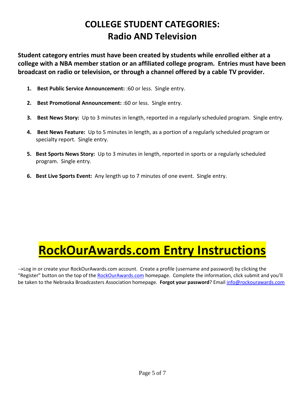## **COLLEGE STUDENT CATEGORIES: Radio AND Television**

**Student category entries must have been created by students while enrolled either at a college with a NBA member station or an affiliated college program. Entries must have been broadcast on radio or television, or through a channel offered by a cable TV provider.**

- **1. Best Public Service Announcement:** :60 or less. Single entry.
- **2. Best Promotional Announcement:** :60 or less. Single entry.
- **3. Best News Story:** Up to 3 minutes in length, reported in a regularly scheduled program. Single entry.
- **4. Best News Feature:** Up to 5 minutes in length, as a portion of a regularly scheduled program or specialty report. Single entry.
- **5. Best Sports News Story:** Up to 3 minutes in length, reported in sports or a regularly scheduled program. Single entry.
- **6. Best Live Sports Event:** Any length up to 7 minutes of one event. Single entry.

## **RockOurAwards.com Entry Instructions**

→Log in or create your RockOurAwards.com account. Create a profile (username and password) by clicking the "Register" button on the top of the [RockOurAwards.com](http://www.rockourawards.com/) homepage. Complete the information, click submit and you'll be taken to the Nebraska Broadcasters Association homepage. **Forgot your password**? Email [info@rockourawards.com](mailto:info@rockourawards.com)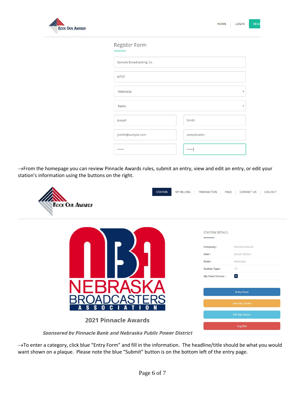

 $REG$ 

#### **Register Form**

| Sample Broadcasting Co. |             |
|-------------------------|-------------|
| <b>WTST</b>             |             |
| Nebraska                | v           |
| Radio                   | ÷           |
| Joseph                  | Smith       |
| jsmith@sample.com       | sampleradio |
|                         |             |

→From the homepage you can review Pinnacle Awards rules, submit an entry, view and edit an entry, or edit your station's information using the buttons on the right.

| <b>STATION</b><br><b>ROCK OUR AWARD?</b>    | MY BILLING<br>TRANSACTION | LOG OUT<br>FAQS<br>CONTACT US |
|---------------------------------------------|---------------------------|-------------------------------|
|                                             | <b>STATION DETAILS</b>    | RockOurAwards                 |
|                                             | Company:<br>User:         | Jordan Walton                 |
|                                             | State:                    | Nebraska                      |
|                                             | <b>Station Type:</b>      | TV                            |
|                                             | <b>My Total Entries:</b>  | $\boxed{0}$                   |
|                                             |                           | <b>Entry Form</b>             |
|                                             |                           | <b>View My Entries</b>        |
| N<br>S<br>S<br>$\bf{0}$<br>C<br>0<br>A<br>A |                           | <b>Edit My Station</b>        |
| <b>2021 Pinnacle Awards</b>                 |                           | Log Out                       |

Sponsored by Pinnacle Bank and Nebraska Public Power District

→To enter a category, click blue "Entry Form" and fill in the information. The headline/title should be what you would want shown on a plaque. Please note the blue "Submit" button is on the bottom left of the entry page.